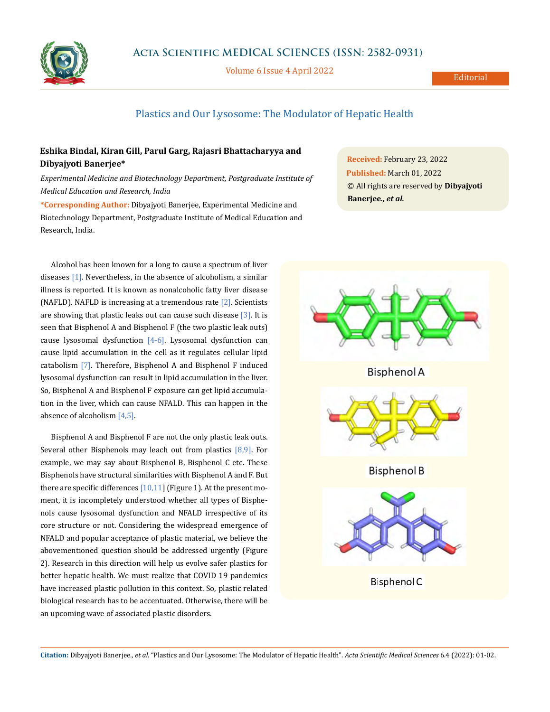

Volume 6 Issue 4 April 2022

## Plastics and Our Lysosome: The Modulator of Hepatic Health

## **Eshika Bindal, Kiran Gill, Parul Garg, Rajasri Bhattacharyya and Dibyajyoti Banerjee\***

*Experimental Medicine and Biotechnology Department, Postgraduate Institute of Medical Education and Research, India*

**\*Corresponding Author:** Dibyajyoti Banerjee, Experimental Medicine and Biotechnology Department, Postgraduate Institute of Medical Education and Research, India.

Alcohol has been known for a long to cause a spectrum of liver diseases [1]. Nevertheless, in the absence of alcoholism, a similar illness is reported. It is known as nonalcoholic fatty liver disease (NAFLD). NAFLD is increasing at a tremendous rate [2]. Scientists are showing that plastic leaks out can cause such disease  $[3]$ . It is seen that Bisphenol A and Bisphenol F (the two plastic leak outs) cause lysosomal dysfunction  $[4-6]$ . Lysosomal dysfunction can cause lipid accumulation in the cell as it regulates cellular lipid catabolism [7]. Therefore, Bisphenol A and Bisphenol F induced lysosomal dysfunction can result in lipid accumulation in the liver. So, Bisphenol A and Bisphenol F exposure can get lipid accumulation in the liver, which can cause NFALD. This can happen in the absence of alcoholism [4,5].

Bisphenol A and Bisphenol F are not the only plastic leak outs. Several other Bisphenols may leach out from plastics  $[8,9]$ . For example, we may say about Bisphenol B, Bisphenol C etc. These Bisphenols have structural similarities with Bisphenol A and F. But there are specific differences  $[10,11]$  (Figure 1). At the present moment, it is incompletely understood whether all types of Bisphenols cause lysosomal dysfunction and NFALD irrespective of its core structure or not. Considering the widespread emergence of NFALD and popular acceptance of plastic material, we believe the abovementioned question should be addressed urgently (Figure 2). Research in this direction will help us evolve safer plastics for better hepatic health. We must realize that COVID 19 pandemics have increased plastic pollution in this context. So, plastic related biological research has to be accentuated. Otherwise, there will be an upcoming wave of associated plastic disorders.

**Received:** February 23, 2022 **Published:** March 01, 2022 © All rights are reserved by **Dibyajyoti Banerjee***., et al.*



**Citation:** Dibyajyoti Banerjee*., et al.* "Plastics and Our Lysosome: The Modulator of Hepatic Health". *Acta Scientific Medical Sciences* 6.4 (2022): 01-02.